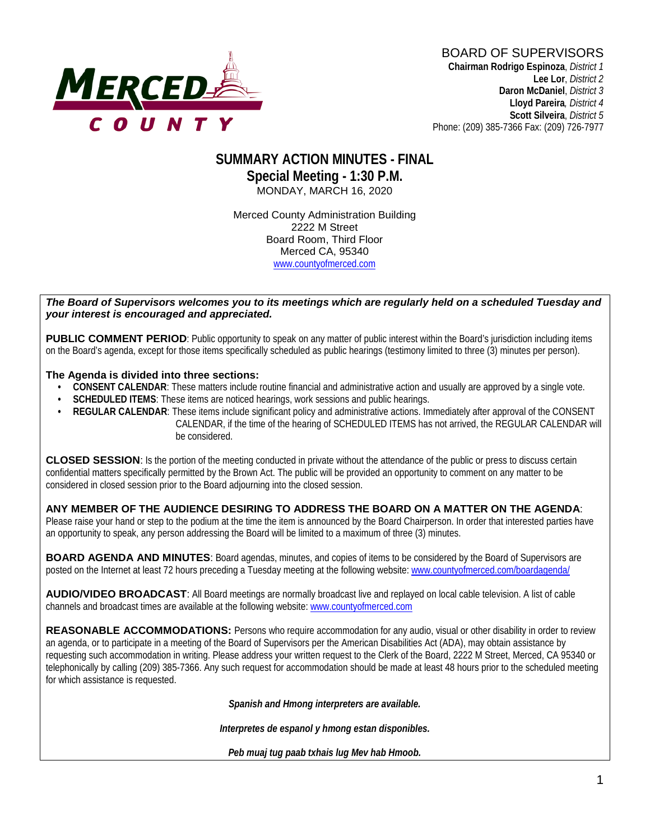

## **SUMMARY ACTION MINUTES - FINAL Special Meeting - 1:30 P.M.** MONDAY, MARCH 16, 2020

Merced County Administration Building 2222 M Street Board Room, Third Floor Merced CA, 95340 www.countyofmerced.com

#### *The Board of Supervisors welcomes you to its meetings which are regularly held on a scheduled Tuesday and your interest is encouraged and appreciated.*

**PUBLIC COMMENT PERIOD**: Public opportunity to speak on any matter of public interest within the Board's jurisdiction including items on the Board's agenda, except for those items specifically scheduled as public hearings (testimony limited to three (3) minutes per person).

#### **The Agenda is divided into three sections:**

- **CONSENT CALENDAR**: These matters include routine financial and administrative action and usually are approved by a single vote.
- **SCHEDULED ITEMS:** These items are noticed hearings, work sessions and public hearings.
- **REGULAR CALENDAR**: These items include significant policy and administrative actions. Immediately after approval of the CONSENT CALENDAR, if the time of the hearing of SCHEDULED ITEMS has not arrived, the REGULAR CALENDAR will be considered.

**CLOSED SESSION**: Is the portion of the meeting conducted in private without the attendance of the public or press to discuss certain confidential matters specifically permitted by the Brown Act. The public will be provided an opportunity to comment on any matter to be considered in closed session prior to the Board adjourning into the closed session.

#### **ANY MEMBER OF THE AUDIENCE DESIRING TO ADDRESS THE BOARD ON A MATTER ON THE AGENDA**:

Please raise your hand or step to the podium at the time the item is announced by the Board Chairperson. In order that interested parties have an opportunity to speak, any person addressing the Board will be limited to a maximum of three (3) minutes.

**BOARD AGENDA AND MINUTES:** Board agendas, minutes, and copies of items to be considered by the Board of Supervisors are posted on the Internet at least 72 hours preceding a Tuesday meeting at the following website: [www.countyofmerced.com/boardagenda/](http://www.countyofmerced.com/boardagenda/) 

**AUDIO/VIDEO BROADCAST**: All Board meetings are normally broadcast live and replayed on local cable television. A list of cable channels and broadcast times are available at the following website[: www.countyofmerced.com](http://www.countyofmerced.com/)

**REASONABLE ACCOMMODATIONS:** Persons who require accommodation for any audio, visual or other disability in order to review an agenda, or to participate in a meeting of the Board of Supervisors per the American Disabilities Act (ADA), may obtain assistance by requesting such accommodation in writing. Please address your written request to the Clerk of the Board, 2222 M Street, Merced, CA 95340 or telephonically by calling (209) 385-7366. Any such request for accommodation should be made at least 48 hours prior to the scheduled meeting for which assistance is requested.

*Spanish and Hmong interpreters are available.*

*Interpretes de espanol y hmong estan disponibles.*

*Peb muaj tug paab txhais lug Mev hab Hmoob.*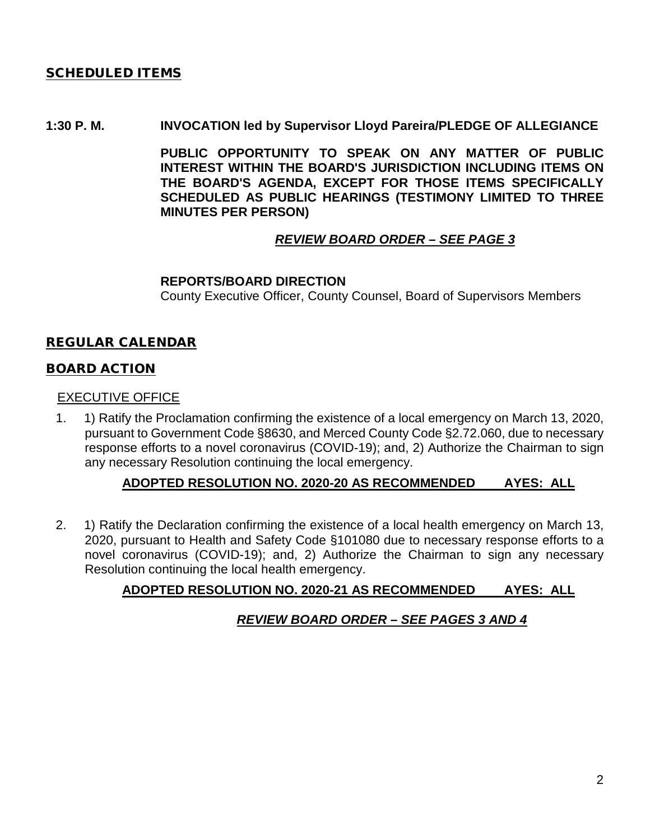## SCHEDULED ITEMS

### **1:30 P. M. INVOCATION led by Supervisor Lloyd Pareira/PLEDGE OF ALLEGIANCE**

**PUBLIC OPPORTUNITY TO SPEAK ON ANY MATTER OF PUBLIC INTEREST WITHIN THE BOARD'S JURISDICTION INCLUDING ITEMS ON THE BOARD'S AGENDA, EXCEPT FOR THOSE ITEMS SPECIFICALLY SCHEDULED AS PUBLIC HEARINGS (TESTIMONY LIMITED TO THREE MINUTES PER PERSON)**

# *REVIEW BOARD ORDER – SEE PAGE 3*

### **REPORTS/BOARD DIRECTION**

County Executive Officer, County Counsel, Board of Supervisors Members

## REGULAR CALENDAR

## BOARD ACTION

### EXECUTIVE OFFICE

1. 1) Ratify the Proclamation confirming the existence of a local emergency on March 13, 2020, pursuant to Government Code §8630, and Merced County Code §2.72.060, due to necessary response efforts to a novel coronavirus (COVID-19); and, 2) Authorize the Chairman to sign any necessary Resolution continuing the local emergency.

## **ADOPTED RESOLUTION NO. 2020-20 AS RECOMMENDED AYES: ALL**

2. 1) Ratify the Declaration confirming the existence of a local health emergency on March 13, 2020, pursuant to Health and Safety Code §101080 due to necessary response efforts to a novel coronavirus (COVID-19); and, 2) Authorize the Chairman to sign any necessary Resolution continuing the local health emergency.

# **ADOPTED RESOLUTION NO. 2020-21 AS RECOMMENDED AYES: ALL**

# *REVIEW BOARD ORDER – SEE PAGES 3 AND 4*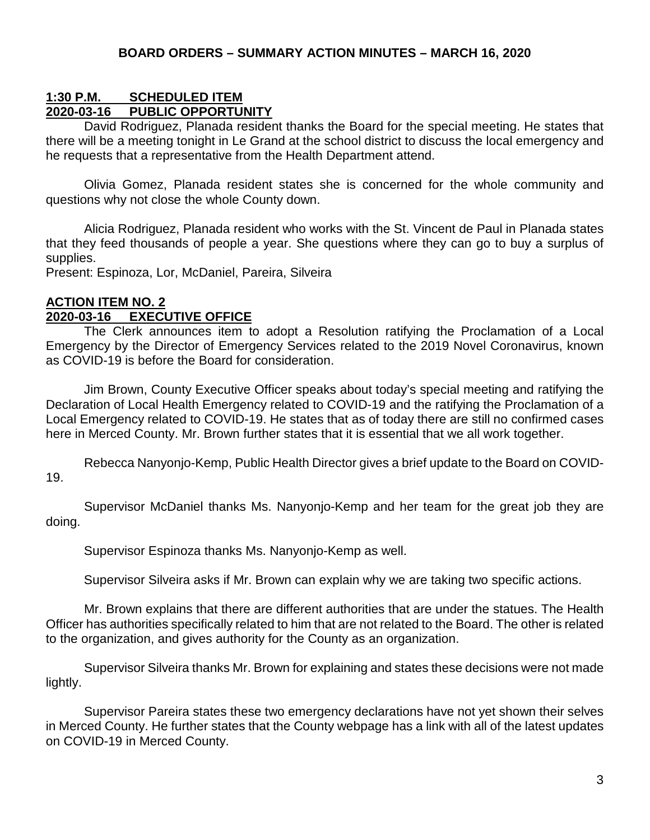### **1:30 P.M. SCHEDULED ITEM 2020-03-16 PUBLIC OPPORTUNITY**

David Rodriguez, Planada resident thanks the Board for the special meeting. He states that there will be a meeting tonight in Le Grand at the school district to discuss the local emergency and he requests that a representative from the Health Department attend.

Olivia Gomez, Planada resident states she is concerned for the whole community and questions why not close the whole County down.

Alicia Rodriguez, Planada resident who works with the St. Vincent de Paul in Planada states that they feed thousands of people a year. She questions where they can go to buy a surplus of supplies.

Present: Espinoza, Lor, McDaniel, Pareira, Silveira

# **ACTION ITEM NO. 2**

### **2020-03-16 EXECUTIVE OFFICE**

The Clerk announces item to adopt a Resolution ratifying the Proclamation of a Local Emergency by the Director of Emergency Services related to the 2019 Novel Coronavirus, known as COVID-19 is before the Board for consideration.

Jim Brown, County Executive Officer speaks about today's special meeting and ratifying the Declaration of Local Health Emergency related to COVID-19 and the ratifying the Proclamation of a Local Emergency related to COVID-19. He states that as of today there are still no confirmed cases here in Merced County. Mr. Brown further states that it is essential that we all work together.

Rebecca Nanyonjo-Kemp, Public Health Director gives a brief update to the Board on COVID-19.

Supervisor McDaniel thanks Ms. Nanyonjo-Kemp and her team for the great job they are doing.

Supervisor Espinoza thanks Ms. Nanyonjo-Kemp as well.

Supervisor Silveira asks if Mr. Brown can explain why we are taking two specific actions.

Mr. Brown explains that there are different authorities that are under the statues. The Health Officer has authorities specifically related to him that are not related to the Board. The other is related to the organization, and gives authority for the County as an organization.

Supervisor Silveira thanks Mr. Brown for explaining and states these decisions were not made lightly.

Supervisor Pareira states these two emergency declarations have not yet shown their selves in Merced County. He further states that the County webpage has a link with all of the latest updates on COVID-19 in Merced County.